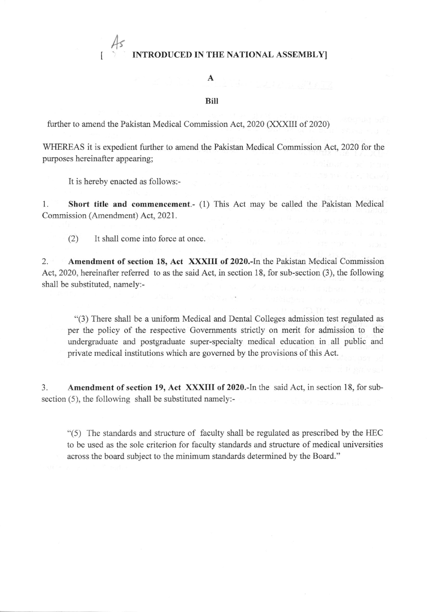# $As$ INTRODUCED IN THE NATIONAL ASSEMBLYI

## A

#### BiII

further to amend the Pakistan Medical Commission Act, 2020 (XXXIII of 2020)

WHEREAS it is expedient further to amend the Pakistan Medical Commission Act, 2020 for the purposes hereinafter appearing;

It is hereby enacted as follows:-

I

1. Short title and commencement.- (1) This Act may be called the Pakistan Medical Commission (Amendment) Act, 2021.

(2) It shall come into force at once.

2. Amendment of section 18, Act XXXIII of 2020.-In the Pakistan Medical Commission Act,2020, hereinafter referred to as the said Act, in section 18, for sub-section (3), the following shall be substituted, namely:-

"(3) There shall be a uniform Medical and Dental Colleges admission test regulated as per the policy of the respective Govemments strictly on merit for admission to the undergraduate and postgraduate super-specialty medical education in all public and private medical institutions which are govemed by the provisions of this Act.

3. Amendment of section 19, Act XXXIII of 2020.-In the said Act, in section 18, for subsection (5), the following shall be substituted namely:-

 $"(5)$  The standards and structure of faculty shall be regulated as prescribed by the HEC to be used as the sole criterion for faculty standards and structure of medical universities across the board subject to the minimum standards determined by the Board."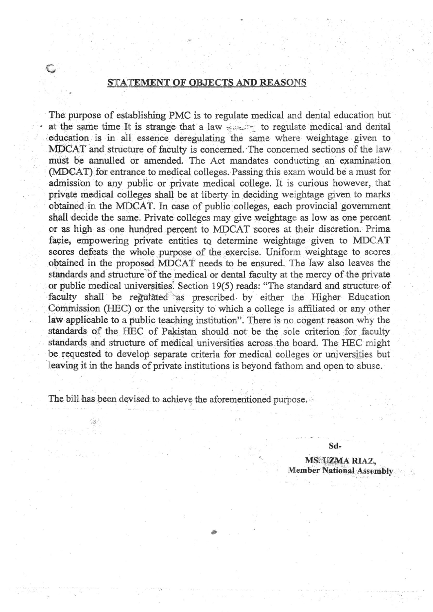### STATEMENT OF OBJECTS AND REASONS

The purpose of establishing PMC is to regulate medical and dental education but at the same time It is strange that a law service to regulate medical and dental education is in all essence deregulating the same where weightage given to MDCAT and structure of faculty is concerned. The concerned sections of the law must be annulled or amended. The Act mandates conducting an examination (MDCAT) for entrance to medical colleges. Passing this exam would be a must for admission to any public or private medical college. It is curious however, that private medical colleges shall be at liberty in deciding weightage given to marks obtained in the MDCAT. In case of public colleges, each provincial government shall decide the same. Private colleges may give weightage as low as one percent or as high as one hundred percent to MDCAT scores at their discretion. Prima facie, empowering private entities to determine weightage given to MDCAT scores defeats the whole purpose of the exercise. Uniform weightage to scores obtained in the proposed MDCAT needs to be ensured. The law also leaves the standards and structure of the medical or dental faculty at the mercy of the private or public medical universities. Section 19(5) reads: "The standard and structure of faculty shall be regulated as prescribed by either the Higher Education Commission (HEC) or the university to which a college is affiliated or any other law applicable to a public teaching institution". There is no cogent reason why the standards of the HEC of Pakistan should not be the sole criterion for faculty standards and structure of medical universities across the board. The HEC might be requested to develop separate criteria for medical colleges or universities but leaving it in the hands of private institutions is beyond fathom and open to abuse.

The bill has been devised to achieve the aforementioned purpose.

Sd-MS. UZMA RIAZ. Member National Assembly